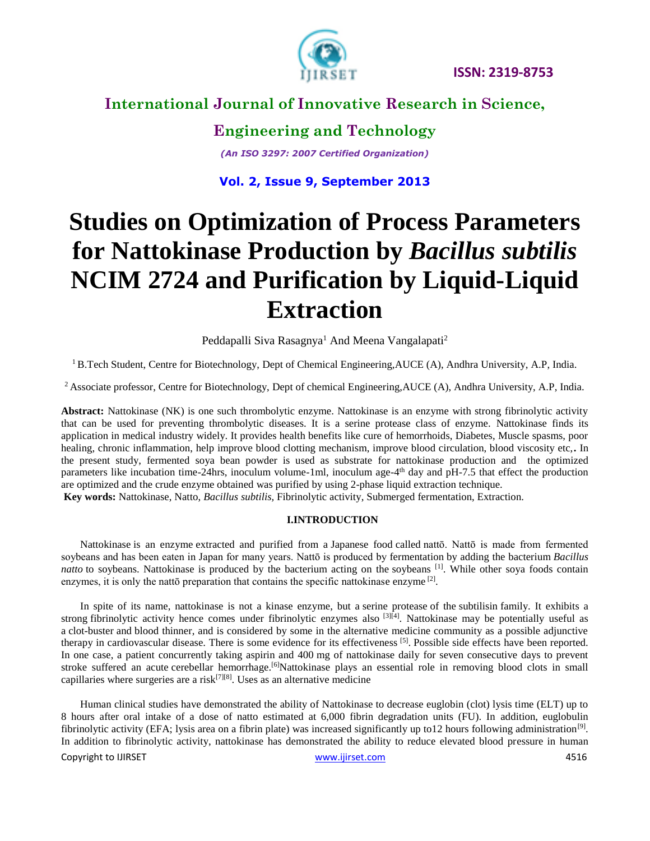

# **International Journal of Innovative Research in Science,**

**Engineering and Technology** *(An ISO 3297: 2007 Certified Organization)*

**Vol. 2, Issue 9, September 2013**

# **Studies on Optimization of Process Parameters for Nattokinase Production by** *Bacillus subtilis* **NCIM 2724 and Purification by Liquid-Liquid Extraction**

Peddapalli Siva Rasagnya<sup>1</sup> And Meena Vangalapati<sup>2</sup>

<sup>1</sup> B.Tech Student, Centre for Biotechnology, Dept of Chemical Engineering, AUCE (A), Andhra University, A.P, India.

<sup>2</sup> Associate professor, Centre for Biotechnology, Dept of chemical Engineering,AUCE (A), Andhra University, A.P, India.

**Abstract:** Nattokinase (NK) is one such thrombolytic enzyme. Nattokinase is an enzyme with strong fibrinolytic activity that can be used for preventing thrombolytic diseases. It is a serine protease class of enzyme. Nattokinase finds its application in medical industry widely. It provides health benefits like cure of hemorrhoids, Diabetes, Muscle spasms, poor healing, chronic inflammation, help improve blood clotting mechanism, improve blood circulation, blood viscosity etc,**.** In the present study, fermented soya bean powder is used as substrate for nattokinase production and the optimized parameters like incubation time-24hrs, inoculum volume-1ml, inoculum age-4<sup>th</sup> day and pH-7.5 that effect the production are optimized and the crude enzyme obtained was purified by using 2-phase liquid extraction technique.

**Key words:** Nattokinase, Natto, *Bacillus subtilis,* Fibrinolytic activity, Submerged fermentation, Extraction.

#### **I.INTRODUCTION**

Nattokinase is an [enzyme](http://en.wikipedia.org/wiki/Enzyme) extracted and purified from a [Japanese food](http://en.wikipedia.org/wiki/Japanese_food) called [nattō.](http://en.wikipedia.org/wiki/Natt%C5%8D) Nattō is made from fermented soybeans and has been eaten in Japan for many years. Nattō is produced by [fermentation](http://en.wikipedia.org/wiki/Fermentation_(biochemistry)) by adding the bacterium *[Bacillus](http://en.wikipedia.org/wiki/Bacillus_subtilis#Uses)  [natto](http://en.wikipedia.org/wiki/Bacillus_subtilis#Uses)* to soybeans. Nattokinase is produced by the bacterium acting on the [soybeans](http://en.wikipedia.org/wiki/Soybeans) <sup>[1]</sup>. While other soya foods contain enzymes, it is only the natto preparation that contains the specific nattokinase enzyme<sup>[2]</sup>.

In spite of its name, nattokinase is not a kinase enzyme, but a [serine protease](http://en.wikipedia.org/wiki/Serine_protease) of the [subtilisin](http://en.wikipedia.org/wiki/Subtilisin) family. It exhibits a strong [fibrinolytic](http://en.wikipedia.org/wiki/Fibrinolytic) activity hence comes under fibrinolytic enzymes also  $[3]$ <sup>[4]</sup>. Nattokinase may be potentially useful as a clot-buster and blood thinner, and is considered by some in the alternative medicine community as a possible adjunctive therapy in cardiovascular disease. There is some evidence for its effectiveness [5]. Possible side effects have been reported. In one case, a patient concurrently taking aspirin and 400 mg of nattokinase daily for seven consecutive days to prevent stroke suffered an acute cerebellar hemorrhage.<sup>[6]</sup>Nattokinase plays an essential role in removing blood clots in small capillaries where surgeries are a risk<sup>[7][8]</sup>. Uses as an alternative medicine

Human clinical studies have demonstrated the ability of Nattokinase to decrease euglobin (clot) lysis time (ELT) up to 8 hours after oral intake of a dose of natto estimated at 6,000 fibrin degradation units (FU). In addition, euglobulin fibrinolytic activity (EFA; lysis area on a fibrin plate) was increased significantly up to 12 hours following administration<sup>[9]</sup>. In addition to fibrinolytic activity, nattokinase has demonstrated the ability to reduce elevated blood pressure in human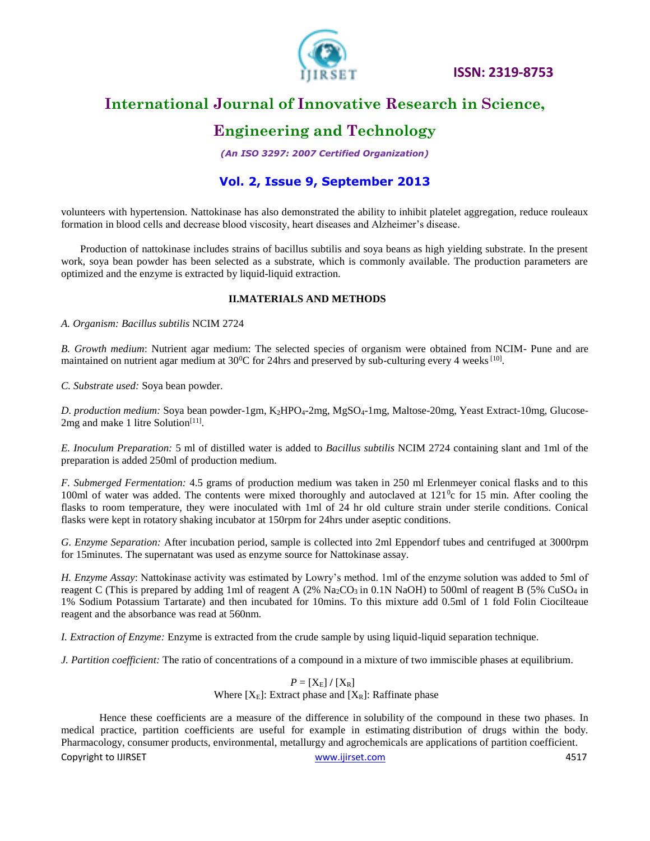

# **International Journal of Innovative Research in Science,**

# **Engineering and Technology**

*(An ISO 3297: 2007 Certified Organization)*

### **Vol. 2, Issue 9, September 2013**

volunteers with hypertension. Nattokinase has also demonstrated the ability to inhibit platelet aggregation, reduce rouleaux formation in blood cells and decrease blood viscosity, heart diseases and Alzheimer's disease.

Production of nattokinase includes strains of bacillus subtilis and soya beans as high yielding substrate. In the present work, soya bean powder has been selected as a substrate, which is commonly available. The production parameters are optimized and the enzyme is extracted by liquid-liquid extraction.

#### **II.MATERIALS AND METHODS**

*A. Organism: Bacillus subtilis* NCIM 2724

*B. Growth medium*: Nutrient agar medium: The selected species of organism were obtained from NCIM- Pune and are maintained on nutrient agar medium at  $30^0C$  for 24hrs and preserved by sub-culturing every 4 weeks [10].

*C. Substrate used:* Soya bean powder.

D. production medium: Soya bean powder-1gm, K<sub>2</sub>HPO<sub>4</sub>-2mg, MgSO<sub>4</sub>-1mg, Maltose-20mg, Yeast Extract-10mg, Glucose-2mg and make 1 litre Solution<sup>[11]</sup>.

*E. Inoculum Preparation:* 5 ml of distilled water is added to *Bacillus subtilis* NCIM 2724 containing slant and 1ml of the preparation is added 250ml of production medium.

*F. Submerged Fermentation:* 4.5 grams of production medium was taken in 250 ml Erlenmeyer conical flasks and to this 100ml of water was added. The contents were mixed thoroughly and autoclaved at  $121^\circ$ c for 15 min. After cooling the flasks to room temperature, they were inoculated with 1ml of 24 hr old culture strain under sterile conditions. Conical flasks were kept in rotatory shaking incubator at 150rpm for 24hrs under aseptic conditions.

*G. Enzyme Separation:* After incubation period, sample is collected into 2ml Eppendorf tubes and centrifuged at 3000rpm for 15minutes. The supernatant was used as enzyme source for Nattokinase assay.

*H. Enzyme Assay*: Nattokinase activity was estimated by Lowry's method. 1ml of the enzyme solution was added to 5ml of reagent C (This is prepared by adding 1ml of reagent A (2% Na<sub>2</sub>CO<sub>3</sub> in 0.1N NaOH) to 500ml of reagent B (5% CuSO<sub>4</sub> in 1% Sodium Potassium Tartarate) and then incubated for 10mins. To this mixture add 0.5ml of 1 fold Folin Ciocilteaue reagent and the absorbance was read at 560nm.

*I. Extraction of Enzyme:* Enzyme is extracted from the crude sample by using liquid-liquid separation technique.

*J. Partition coefficient:* The ratio of concentrations of a compound in a mixture of two immiscible phases at equilibrium.

#### $P = [X_E] / [X_R]$ Where  $[X_E]$ : Extract phase and  $[X_R]$ : Raffinate phase

Hence these coefficients are a measure of the difference in solubility of the compound in these two phases. In medical practice, partition coefficients are useful for example in estimating distribution of drugs within the body. Pharmacology, consumer products, environmental, metallurgy and agrochemicals are applications of partition coefficient.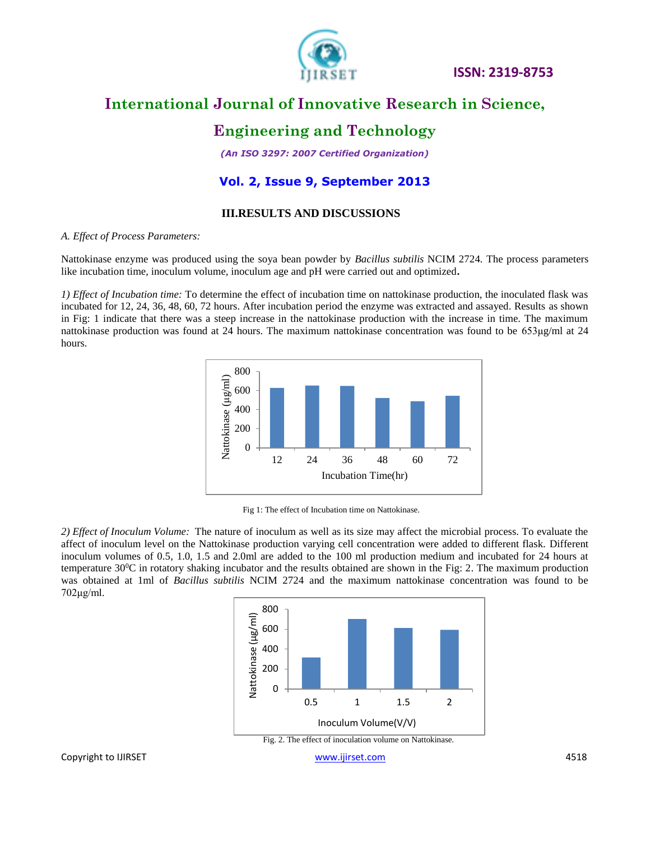

# **International Journal of Innovative Research in Science,**

### **Engineering and Technology**

*(An ISO 3297: 2007 Certified Organization)*

### **Vol. 2, Issue 9, September 2013**

#### **III.RESULTS AND DISCUSSIONS**

#### *A. Effect of Process Parameters:*

Nattokinase enzyme was produced using the soya bean powder by *Bacillus subtilis* NCIM 2724*.* The process parameters like incubation time, inoculum volume, inoculum age and pH were carried out and optimized**.**

*1) Effect of Incubation time:* To determine the effect of incubation time on nattokinase production, the inoculated flask was incubated for 12, 24, 36, 48, 60, 72 hours. After incubation period the enzyme was extracted and assayed. Results as shown in Fig: 1 indicate that there was a steep increase in the nattokinase production with the increase in time. The maximum nattokinase production was found at 24 hours. The maximum nattokinase concentration was found to be 653μg/ml at 24 hours.



Fig 1: The effect of Incubation time on Nattokinase.

*2) Effect of Inoculum Volume:* The nature of inoculum as well as its size may affect the microbial process. To evaluate the affect of inoculum level on the Nattokinase production varying cell concentration were added to different flask. Different inoculum volumes of 0.5, 1.0, 1.5 and 2.0ml are added to the 100 ml production medium and incubated for 24 hours at temperature 30<sup>0</sup>C in rotatory shaking incubator and the results obtained are shown in the Fig: 2. The maximum production was obtained at 1ml of *Bacillus subtilis* NCIM 2724 and the maximum nattokinase concentration was found to be 702μg/ml.

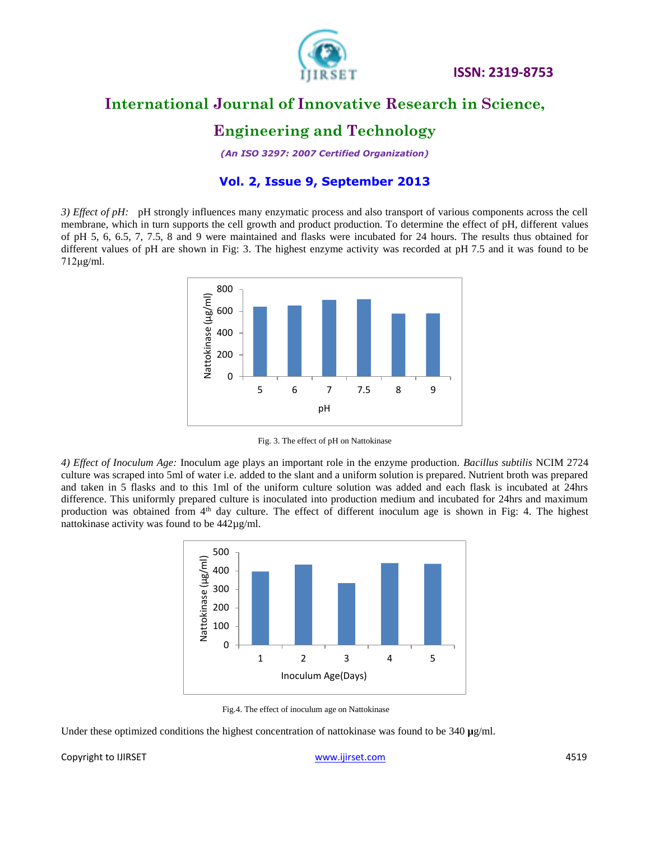

# **International Journal of Innovative Research in Science,**

### **Engineering and Technology**

*(An ISO 3297: 2007 Certified Organization)*

### **Vol. 2, Issue 9, September 2013**

*3) Effect of pH:* pH strongly influences many enzymatic process and also transport of various components across the cell membrane, which in turn supports the cell growth and product production. To determine the effect of pH, different values of pH 5, 6, 6.5, 7, 7.5, 8 and 9 were maintained and flasks were incubated for 24 hours. The results thus obtained for different values of pH are shown in Fig: 3. The highest enzyme activity was recorded at pH 7.5 and it was found to be 712μg/ml.



Fig. 3. The effect of pH on Nattokinase

*4) Effect of Inoculum Age:* Inoculum age plays an important role in the enzyme production. *Bacillus subtilis* NCIM 2724 culture was scraped into 5ml of water i.e. added to the slant and a uniform solution is prepared. Nutrient broth was prepared and taken in 5 flasks and to this 1ml of the uniform culture solution was added and each flask is incubated at 24hrs difference. This uniformly prepared culture is inoculated into production medium and incubated for 24hrs and maximum production was obtained from 4<sup>th</sup> day culture. The effect of different inoculum age is shown in Fig: 4. The highest nattokinase activity was found to be 442µg/ml.



Fig.4. The effect of inoculum age on Nattokinase

Under these optimized conditions the highest concentration of nattokinase was found to be 340 **µ**g/ml.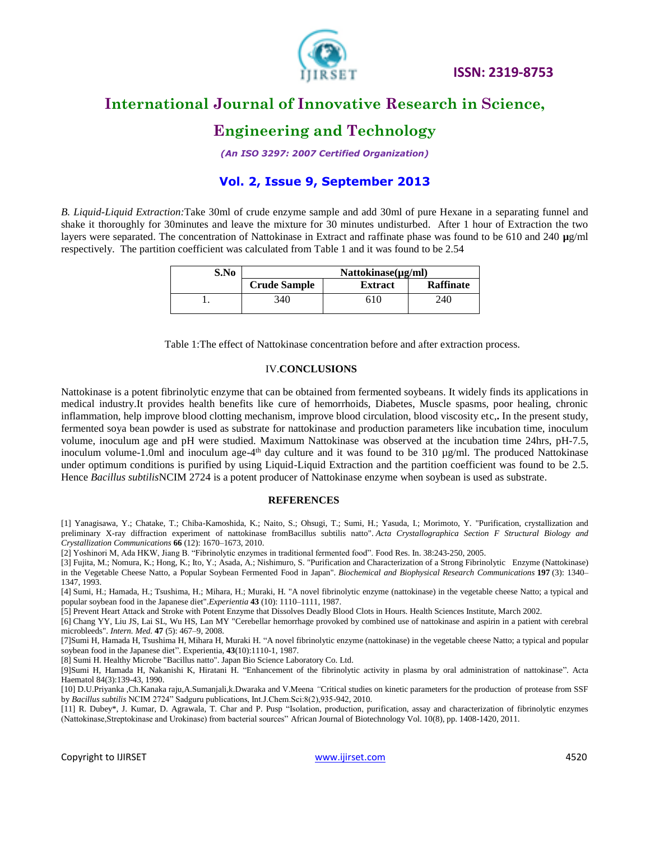

# **International Journal of Innovative Research in Science,**

### **Engineering and Technology**

*(An ISO 3297: 2007 Certified Organization)*

### **Vol. 2, Issue 9, September 2013**

*B. Liquid-Liquid Extraction:*Take 30ml of crude enzyme sample and add 30ml of pure Hexane in a separating funnel and shake it thoroughly for 30minutes and leave the mixture for 30 minutes undisturbed. After 1 hour of Extraction the two layers were separated. The concentration of Nattokinase in Extract and raffinate phase was found to be 610 and 240 **µ**g/ml respectively. The partition coefficient was calculated from Table 1 and it was found to be 2.54

| S.No | $Nattokinase(\mu g/ml)$ |                |                  |
|------|-------------------------|----------------|------------------|
|      | <b>Crude Sample</b>     | <b>Extract</b> | <b>Raffinate</b> |
|      | 340                     | 610            | 240              |

Table 1:The effect of Nattokinase concentration before and after extraction process.

#### IV.**CONCLUSIONS**

Nattokinase is a potent fibrinolytic enzyme that can be obtained from fermented soybeans. It widely finds its applications in medical industry.It provides health benefits like cure of hemorrhoids, Diabetes, Muscle spasms, poor healing, chronic inflammation, help improve blood clotting mechanism, improve blood circulation, blood viscosity etc,**.** In the present study, fermented soya bean powder is used as substrate for nattokinase and production parameters like incubation time, inoculum volume, inoculum age and pH were studied. Maximum Nattokinase was observed at the incubation time 24hrs, pH-7.5, inoculum volume-1.0ml and inoculum age-4<sup>th</sup> day culture and it was found to be 310 µg/ml. The produced Nattokinase under optimum conditions is purified by using Liquid-Liquid Extraction and the partition coefficient was found to be 2.5. Hence *Bacillus subtilis*NCIM 2724 is a potent producer of Nattokinase enzyme when soybean is used as substrate.

#### **REFERENCES**

[1] Yanagisawa, Y.; Chatake, T.; Chiba-Kamoshida, K.; Naito, S.; Ohsugi, T.; Sumi, H.; Yasuda, I.; Morimoto, Y. ["Purification, crystallization and](http://www.ncbi.nlm.nih.gov/pmc/articles/PMC2998380)  [preliminary X-ray diffraction experiment of nattokinase fromBacillus subtilis natto".](http://www.ncbi.nlm.nih.gov/pmc/articles/PMC2998380) *Acta Crystallographica Section F Structural Biology and Crystallization Communications* **66** (12): 1670–1673, 2010.

[2] Yoshinori M, Ada HKW, Jiang B. "Fibrinolytic enzymes in traditional fermented food". Food Res. In. 38:243-250, 2005.

[3] Fujita, M.; Nomura, K.; Hong, K.; Ito, Y.; Asada, A.; Nishimuro, S. "Purification and Characterization of a Strong Fibrinolytic Enzyme (Nattokinase) in the Vegetable Cheese Natto, a Popular Soybean Fermented Food in Japan". *Biochemical and Biophysical Research Communications* **197** (3): 1340– 1347, 1993.

[4] Sumi, H.; Hamada, H.; Tsushima, H.; Mihara, H.; Muraki, H. "A novel fibrinolytic enzyme (nattokinase) in the vegetable cheese Natto; a typical and popular soybean food in the Japanese diet".*Experientia* **43** (10): 1110–1111, 1987.

[5] Prevent Heart Attack and Stroke with Potent Enzyme that Dissolves Deadly Blood Clots in Hours. Health Sciences Institute, March 2002.

[6] Chang YY, Liu JS, Lai SL, Wu HS, Lan MY "Cerebellar hemorrhage provoked by combined use of nattokinase and aspirin in a patient with cerebral microbleeds". *Intern. Med.* **47** (5): 467–9, 2008.

[7]Sumi H, Hamada H, Tsushima H, Mihara H, Muraki H. "A novel fibrinolytic enzyme (nattokinase) in the vegetable cheese Natto; a typical and popular soybean food in the Japanese diet". Experientia, **43**(10):1110-1, 1987.

[8] Sumi H. Healthy Microbe "Bacillus natto". Japan Bio Science Laboratory Co. Ltd.

[9]Sumi H, Hamada H, Nakanishi K, Hiratani H. "Enhancement of the fibrinolytic activity in plasma by oral administration of nattokinase". Acta Haematol 84(3):139-43, 1990.

[10] D.U.Priyanka ,Ch.Kanaka raju,A.Sumanjali,k.Dwaraka and V.Meena *"*Critical studies on kinetic parameters for the production of protease from SSF by *Bacillus subtilis* NCIM 2724" Sadguru publications, Int.J.Chem.Sci:8(2),935-942, 2010.

[11] R. Dubey\*, J. Kumar, D. Agrawala, T. Char and P. Pusp "Isolation, production, purification, assay and characterization of fibrinolytic enzymes (Nattokinase,Streptokinase and Urokinase) from bacterial sources" African Journal of Biotechnology Vol. 10(8), pp. 1408-1420, 2011.